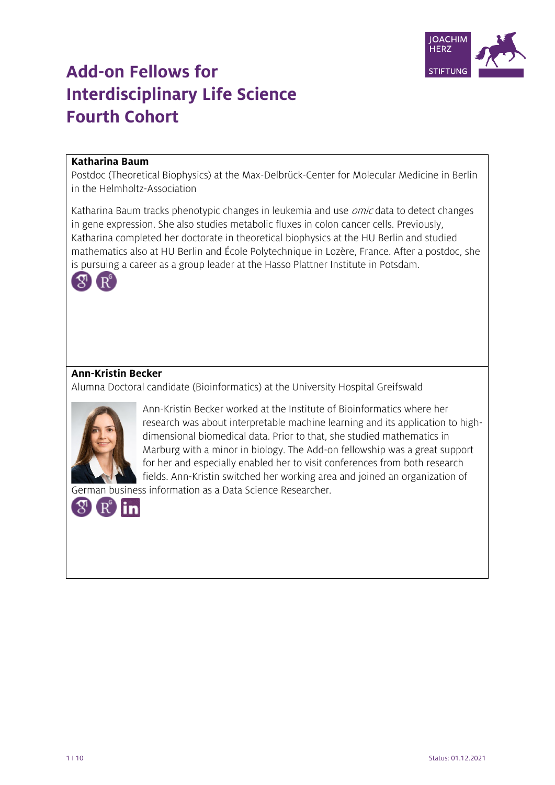

# **Add-on Fellows for Interdisciplinary Life Science Fourth Cohort**

## **Katharina Baum**

Postdoc (Theoretical Biophysics) at the Max-Delbrück-Center for Molecular Medicine in Berlin in the Helmholtz-Association

Katharina Baum tracks phenotypic changes in leukemia and use *omic* data to detect changes in gene expression. She also studies metabolic fluxes in colon cancer cells. Previously, Katharina completed her doctorate in theoretical biophysics at the HU Berlin and studied mathematics also at HU Berlin and École Polytechnique in Lozère, France. After a postdoc, she is pursuing a career as a group leader at the Hasso Plattner Institute in Potsdam.



# **Ann-Kristin Becker**

Alumna Doctoral candidate (Bioinformatics) at the University Hospital Greifswald



Ann-Kristin Becker worked at the Institute of Bioinformatics where her research was about interpretable machine learning and its application to highdimensional biomedical data. Prior to that, she studied mathematics in Marburg with a minor in biology. The Add-on fellowship was a great support for her and especially enabled her to visit conferences from both research fields. Ann-Kristin switched her working area and joined an organization of

German business information as a Data Science Researcher.

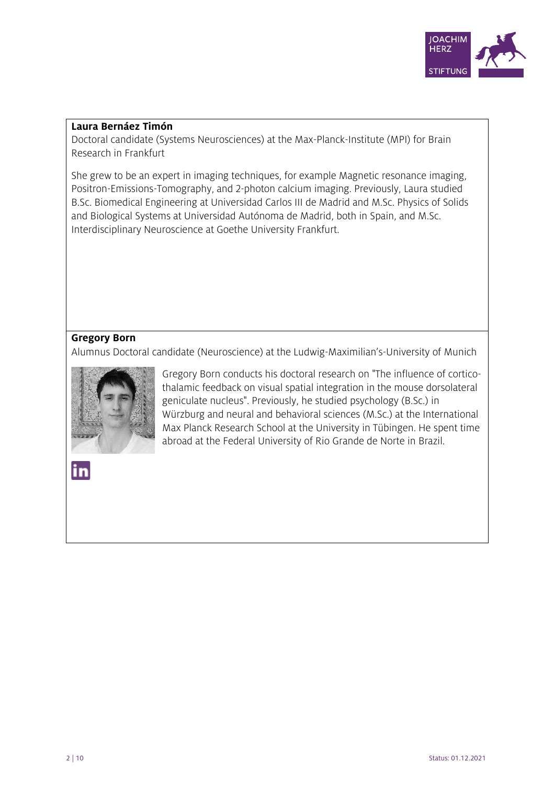

#### **Laura Bernáez Timón**

Doctoral candidate (Systems Neurosciences) at the Max-Planck-Institute (MPI) for Brain Research in Frankfurt

She grew to be an expert in imaging techniques, for example Magnetic resonance imaging, Positron-Emissions-Tomography, and 2-photon calcium imaging. Previously, Laura studied B.Sc. Biomedical Engineering at Universidad Carlos III de Madrid and M.Sc. Physics of Solids and Biological Systems at Universidad Autónoma de Madrid, both in Spain, and M.Sc. Interdisciplinary Neuroscience at Goethe University Frankfurt.

# **Gregory Born**

Alumnus Doctoral candidate (Neuroscience) at the Ludwig-Maximilian's-University of Munich



Gregory Born conducts his doctoral research on "The influence of corticothalamic feedback on visual spatial integration in the mouse dorsolateral geniculate nucleus". Previously, he studied psychology (B.Sc.) in Würzburg and neural and behavioral sciences (M.Sc.) at the International Max Planck Research School at the University in Tübingen. He spent time abroad at the Federal University of Rio Grande de Norte in Brazil.

in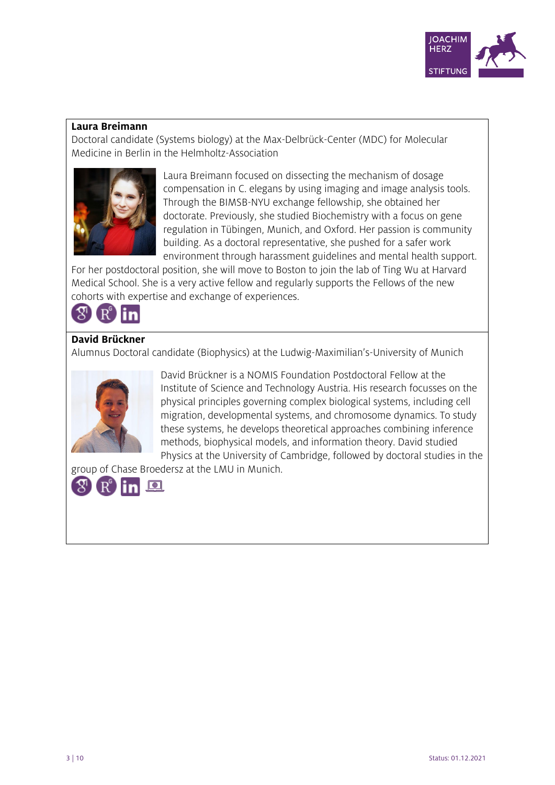

#### **Laura Breimann**

Doctoral candidate (Systems biology) at the Max-Delbrück-Center (MDC) for Molecular Medicine in Berlin in the Helmholtz-Association



Laura Breimann focused on dissecting the mechanism of dosage compensation in C. elegans by using imaging and image analysis tools. Through the BIMSB-NYU exchange fellowship, she obtained her doctorate. Previously, she studied Biochemistry with a focus on gene regulation in Tübingen, Munich, and Oxford. Her passion is community building. As a doctoral representative, she pushed for a safer work environment through harassment guidelines and mental health support.

For her postdoctoral position, she will move to Boston to join the lab of Ting Wu at Harvard Medical School. She is a very active fellow and regularly supports the Fellows of the new cohorts with expertise and exchange of experiences.



# **David Brückner**

Alumnus Doctoral candidate (Biophysics) at the Ludwig-Maximilian's-University of Munich



David Brückner is a NOMIS Foundation Postdoctoral Fellow at the Institute of Science and Technology Austria. His research focusses on the physical principles governing complex biological systems, including cell migration, developmental systems, and chromosome dynamics. To study these systems, he develops theoretical approaches combining inference methods, biophysical models, and information theory. David studied Physics at the University of Cambridge, followed by doctoral studies in the

group of Chase Broedersz at the LMU in Munich.

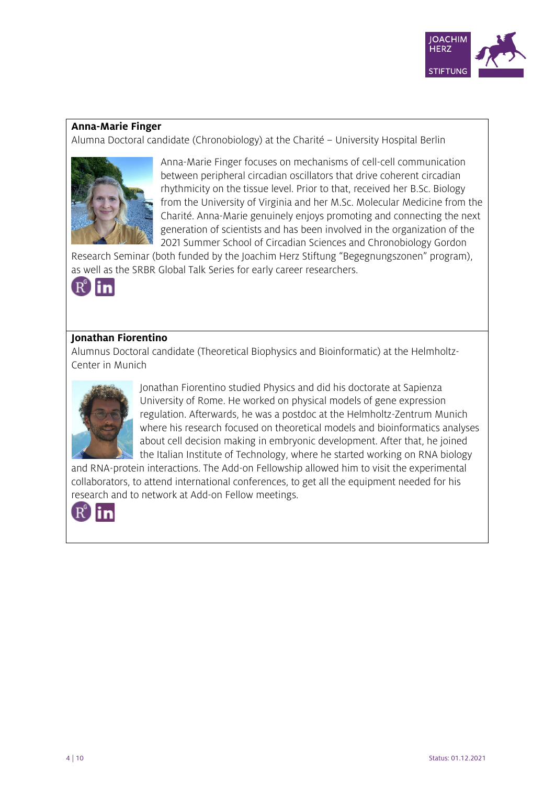

#### **Anna-Marie Finger**

Alumna Doctoral candidate (Chronobiology) at the Charité – University Hospital Berlin



Anna-Marie Finger focuses on mechanisms of cell-cell communication between peripheral circadian oscillators that drive coherent circadian rhythmicity on the tissue level. Prior to that, received her B.Sc. Biology from the University of Virginia and her M.Sc. Molecular Medicine from the Charité. Anna-Marie genuinely enjoys promoting and connecting the next generation of scientists and has been involved in the organization of the 2021 Summer School of Circadian Sciences and Chronobiology Gordon

Research Seminar (both funded by the Joachim Herz Stiftung "Begegnungszonen" program), as well as the SRBR Global Talk Series for early career researchers.



# **Jonathan Fiorentino**

Alumnus Doctoral candidate (Theoretical Biophysics and Bioinformatic) at the Helmholtz-Center in Munich



Jonathan Fiorentino studied Physics and did his doctorate at Sapienza University of Rome. He worked on physical models of gene expression regulation. Afterwards, he was a postdoc at the Helmholtz-Zentrum Munich where his research focused on theoretical models and bioinformatics analyses about cell decision making in embryonic development. After that, he joined the Italian Institute of Technology, where he started working on RNA biology

and RNA-protein interactions. The Add-on Fellowship allowed him to visit the experimental collaborators, to attend international conferences, to get all the equipment needed for his research and to network at Add-on Fellow meetings.

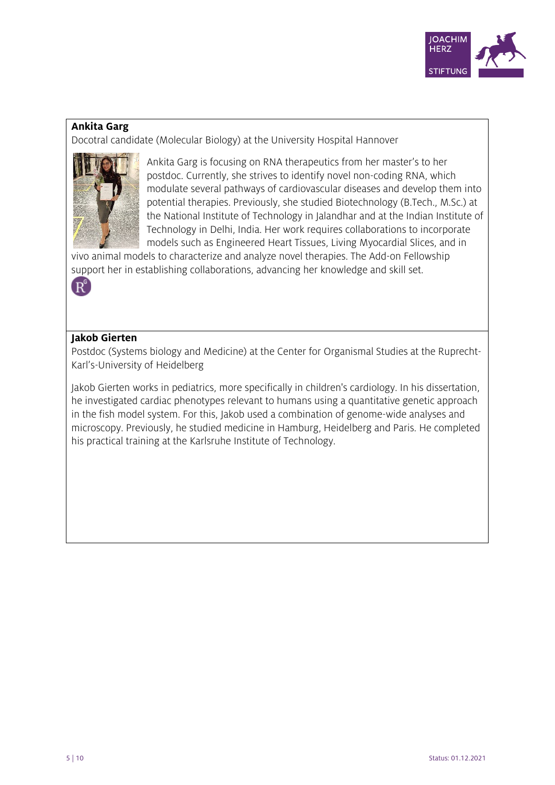

## **Ankita Garg**

Docotral candidate (Molecular Biology) at the University Hospital Hannover



Ankita Garg is focusing on RNA therapeutics from her master's to her postdoc. Currently, she strives to identify novel non-coding RNA, which modulate several pathways of cardiovascular diseases and develop them into potential therapies. Previously, she studied Biotechnology (B.Tech., M.Sc.) at the National Institute of Technology in Jalandhar and at the Indian Institute of Technology in Delhi, India. Her work requires collaborations to incorporate models such as Engineered Heart Tissues, Living Myocardial Slices, and in

vivo animal models to characterize and analyze novel therapies. The Add-on Fellowship support her in establishing collaborations, advancing her knowledge and skill set.

 $R^{\mathsf{c}}$ 

## **Jakob Gierten**

Postdoc (Systems biology and Medicine) at the Center for Organismal Studies at the Ruprecht-Karl's-University of Heidelberg

Jakob Gierten works in pediatrics, more specifically in children's cardiology. In his dissertation, he investigated cardiac phenotypes relevant to humans using a quantitative genetic approach in the fish model system. For this, Jakob used a combination of genome-wide analyses and microscopy. Previously, he studied medicine in Hamburg, Heidelberg and Paris. He completed his practical training at the Karlsruhe Institute of Technology.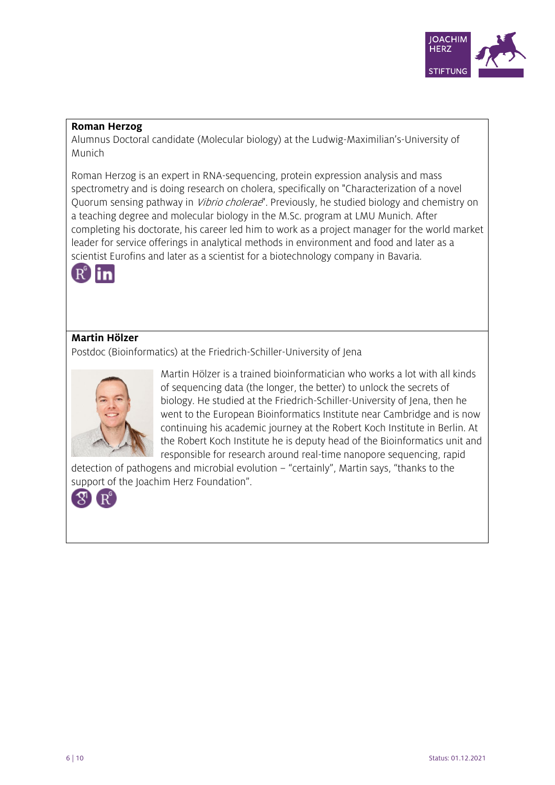

#### **Roman Herzog**

Alumnus Doctoral candidate (Molecular biology) at the Ludwig-Maximilian's-University of Munich

Roman Herzog is an expert in RNA-sequencing, protein expression analysis and mass spectrometry and is doing research on cholera, specifically on "Characterization of a novel Quorum sensing pathway in *Vibrio cholerae*". Previously, he studied biology and chemistry on a teaching degree and molecular biology in the M.Sc. program at LMU Munich. After completing his doctorate, his career led him to work as a project manager for the world market leader for service offerings in analytical methods in environment and food and later as a scientist Eurofins and later as a scientist for a biotechnology company in Bavaria.



# **Martin Hölzer**

Postdoc (Bioinformatics) at the Friedrich-Schiller-University of Jena



Martin Hölzer is a trained bioinformatician who works a lot with all kinds of sequencing data (the longer, the better) to unlock the secrets of biology. He studied at the Friedrich-Schiller-University of Jena, then he went to the European Bioinformatics Institute near Cambridge and is now continuing his academic journey at the Robert Koch Institute in Berlin. At the Robert Koch Institute he is deputy head of the Bioinformatics unit and responsible for research around real-time nanopore sequencing, rapid

detection of pathogens and microbial evolution – "certainly", Martin says, "thanks to the support of the Joachim Herz Foundation".

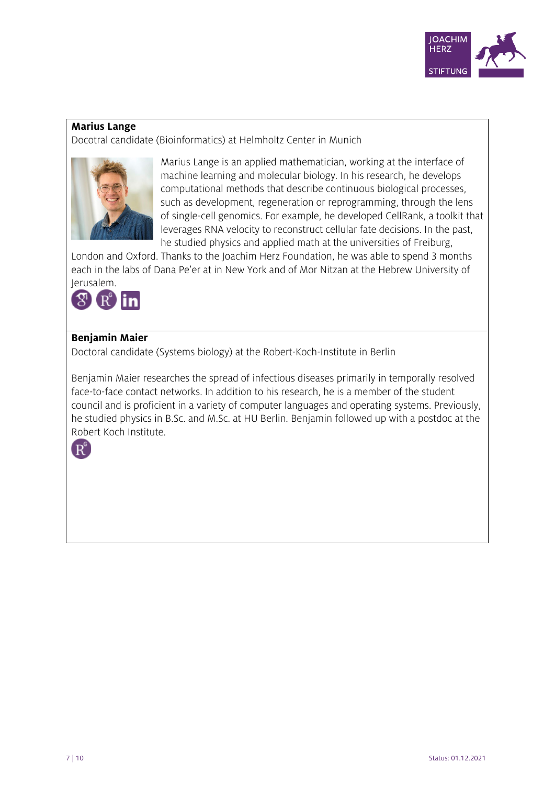

#### **Marius Lange**

Docotral candidate (Bioinformatics) at Helmholtz Center in Munich



Marius Lange is an applied mathematician, working at the interface of machine learning and molecular biology. In his research, he develops computational methods that describe continuous biological processes, such as development, regeneration or reprogramming, through the lens of single-cell genomics. For example, he developed CellRank, a toolkit that leverages RNA velocity to reconstruct cellular fate decisions. In the past, he studied physics and applied math at the universities of Freiburg,

London and Oxford. Thanks to the Joachim Herz Foundation, he was able to spend 3 months each in the labs of Dana Pe'er at in New York and of Mor Nitzan at the Hebrew University of



# **Benjamin Maier**

Doctoral candidate (Systems biology) at the Robert-Koch-Institute in Berlin

Benjamin Maier researches the spread of infectious diseases primarily in temporally resolved face-to-face contact networks. In addition to his research, he is a member of the student council and is proficient in a variety of computer languages and operating systems. Previously, he studied physics in B.Sc. and M.Sc. at HU Berlin. Benjamin followed up with a postdoc at the Robert Koch Institute.

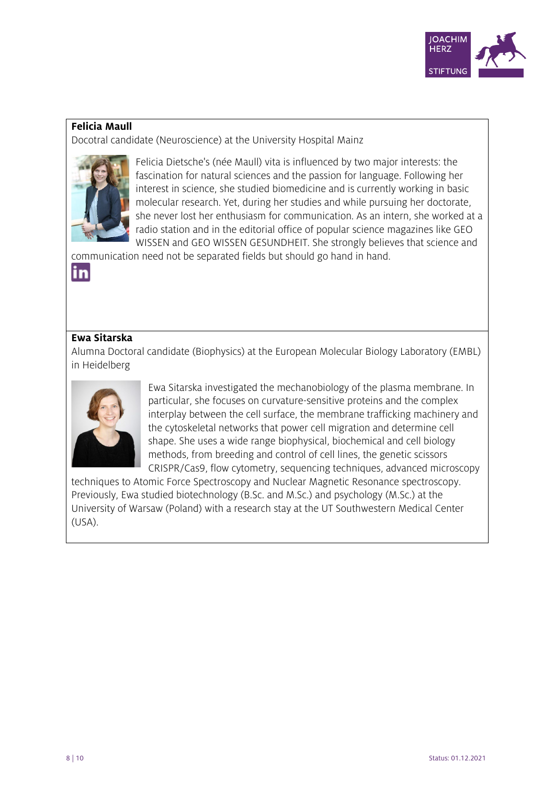

## **Felicia Maull**

Docotral candidate (Neuroscience) at the University Hospital Mainz



Felicia Dietsche's (née Maull) vita is influenced by two major interests: the fascination for natural sciences and the passion for language. Following her interest in science, she studied biomedicine and is currently working in basic molecular research. Yet, during her studies and while pursuing her doctorate, she never lost her enthusiasm for communication. As an intern, she worked at a radio station and in the editorial office of popular science magazines like GEO WISSEN and GEO WISSEN GESUNDHEIT. She strongly believes that science and

communication need not be separated fields but should go hand in hand.

#### **Ewa Sitarska**

in

Alumna Doctoral candidate (Biophysics) at the European Molecular Biology Laboratory (EMBL) in Heidelberg



Ewa Sitarska investigated the mechanobiology of the plasma membrane. In particular, she focuses on curvature-sensitive proteins and the complex interplay between the cell surface, the membrane trafficking machinery and the cytoskeletal networks that power cell migration and determine cell shape. She uses a wide range biophysical, biochemical and cell biology methods, from breeding and control of cell lines, the genetic scissors CRISPR/Cas9, flow cytometry, sequencing techniques, advanced microscopy

techniques to Atomic Force Spectroscopy and Nuclear Magnetic Resonance spectroscopy. Previously, Ewa studied biotechnology (B.Sc. and M.Sc.) and psychology (M.Sc.) at the University of Warsaw (Poland) with a research stay at the UT Southwestern Medical Center (USA).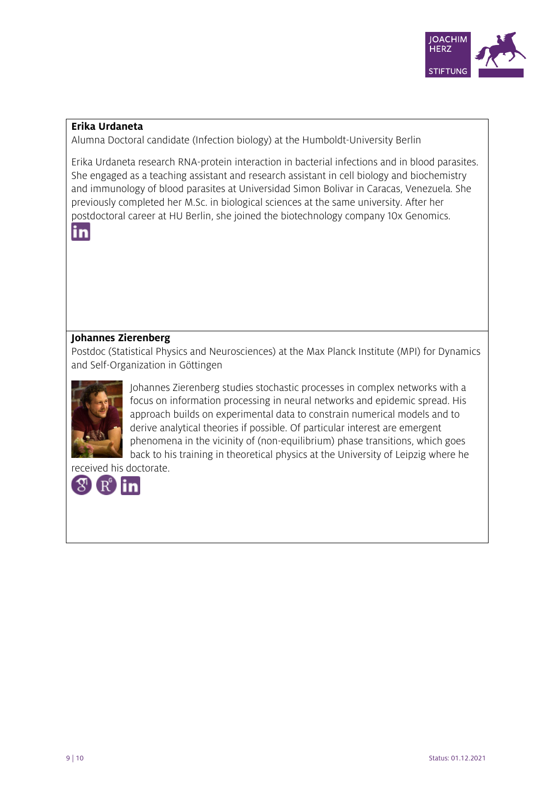

#### **Erika Urdaneta**

Alumna Doctoral candidate (Infection biology) at the Humboldt-University Berlin

Erika Urdaneta research RNA-protein interaction in bacterial infections and in blood parasites. She engaged as a teaching assistant and research assistant in cell biology and biochemistry and immunology of blood parasites at Universidad Simon Bolivar in Caracas, Venezuela. She previously completed her M.Sc. in biological sciences at the same university. After her postdoctoral career at HU Berlin, she joined the biotechnology company 10x Genomics.



# **Johannes Zierenberg**

Postdoc (Statistical Physics and Neurosciences) at the Max Planck Institute (MPI) for Dynamics and Self-Organization in Göttingen



Johannes Zierenberg studies stochastic processes in complex networks with a focus on information processing in neural networks and epidemic spread. His approach builds on experimental data to constrain numerical models and to derive analytical theories if possible. Of particular interest are emergent phenomena in the vicinity of (non-equilibrium) phase transitions, which goes back to his training in theoretical physics at the University of Leipzig where he

received his doctorate.